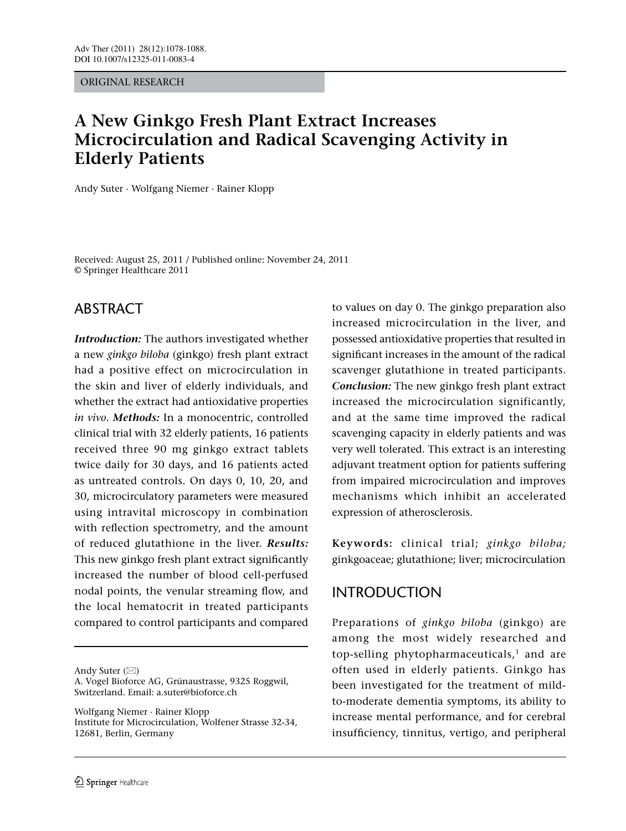ORIGINAL RESEARCH

# **A New Ginkgo Fresh Plant Extract Increases Microcirculation and Radical Scavenging Activity in Elderly Patients**

Andy Suter · Wolfgang Niemer · Rainer Klopp

Received: August 25, 2011 / Published online: November 24, 2011 © Springer Healthcare 2011

# ABSTRACT

*Introduction:* The authors investigated whether a new *ginkgo biloba* (ginkgo) fresh plant extract had a positive effect on microcirculation in the skin and liver of elderly individuals, and whether the extract had antioxidative properties *in vivo*. *Methods:* In a monocentric, controlled clinical trial with 32 elderly patients, 16 patients received three 90 mg ginkgo extract tablets twice daily for 30 days, and 16 patients acted as untreated controls. On days 0, 10, 20, and 30, microcirculatory parameters were measured using intravital microscopy in combination with reflection spectrometry, and the amount of reduced glutathione in the liver. *Results:* This new ginkgo fresh plant extract significantly increased the number of blood cell-perfused nodal points, the venular streaming flow, and the local hematocrit in treated participants compared to control participants and compared

Andy Suter  $(\boxtimes)$ 

A. Vogel Bioforce AG, Grünaustrasse, 9325 Roggwil, Switzerland. Email: a.suter@bioforce.ch

Wolfgang Niemer · Rainer Klopp Institute for Microcirculation, Wolfener Strasse 32-34, 12681, Berlin, Germany

to values on day 0. The ginkgo preparation also increased microcirculation in the liver, and possessed antioxidative properties that resulted in significant increases in the amount of the radical scavenger glutathione in treated participants. *Conclusion:* The new ginkgo fresh plant extract increased the microcirculation significantly, and at the same time improved the radical scavenging capacity in elderly patients and was very well tolerated. This extract is an interesting adjuvant treatment option for patients suffering from impaired microcirculation and improves mechanisms which inhibit an accelerated expression of atherosclerosis.

**Keywords:** clinical trial; *ginkgo biloba;*  ginkgoaceae; glutathione; liver; microcirculation

# INTRODUCTION

Preparations of *ginkgo biloba* (ginkgo) are among the most widely researched and top-selling phytopharmaceuticals, $1$  and are often used in elderly patients. Ginkgo has been investigated for the treatment of mildto-moderate dementia symptoms, its ability to increase mental performance, and for cerebral insufficiency, tinnitus, vertigo, and peripheral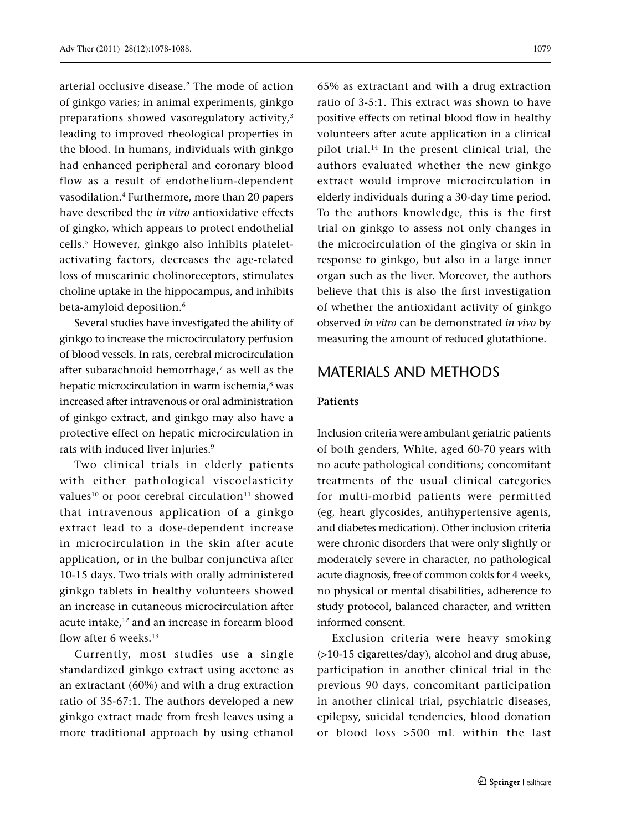arterial occlusive disease.<sup>2</sup> The mode of action of ginkgo varies; in animal experiments, ginkgo preparations showed vasoregulatory activity,<sup>3</sup> leading to improved rheological properties in the blood. In humans, individuals with ginkgo had enhanced peripheral and coronary blood flow as a result of endothelium-dependent

vasodilation.4 Furthermore, more than 20 papers have described the *in vitro* antioxidative effects of gingko, which appears to protect endothelial cells.5 However, ginkgo also inhibits plateletactivating factors, decreases the age-related loss of muscarinic cholinoreceptors, stimulates choline uptake in the hippocampus, and inhibits beta-amyloid deposition.<sup>6</sup>

Several studies have investigated the ability of ginkgo to increase the microcirculatory perfusion of blood vessels. In rats, cerebral microcirculation after subarachnoid hemorrhage,<sup>7</sup> as well as the hepatic microcirculation in warm ischemia,<sup>8</sup> was increased after intravenous or oral administration of ginkgo extract, and ginkgo may also have a protective effect on hepatic microcirculation in rats with induced liver injuries.<sup>9</sup>

Two clinical trials in elderly patients with either pathological viscoelasticity values<sup>10</sup> or poor cerebral circulation<sup>11</sup> showed that intravenous application of a ginkgo extract lead to a dose-dependent increase in microcirculation in the skin after acute application, or in the bulbar conjunctiva after 10-15 days. Two trials with orally administered ginkgo tablets in healthy volunteers showed an increase in cutaneous microcirculation after acute intake,<sup>12</sup> and an increase in forearm blood flow after 6 weeks.<sup>13</sup>

Currently, most studies use a single standardized ginkgo extract using acetone as an extractant (60%) and with a drug extraction ratio of 35-67:1. The authors developed a new ginkgo extract made from fresh leaves using a more traditional approach by using ethanol

65% as extractant and with a drug extraction ratio of 3-5:1. This extract was shown to have positive effects on retinal blood flow in healthy volunteers after acute application in a clinical pilot trial.14 In the present clinical trial, the authors evaluated whether the new ginkgo extract would improve microcirculation in elderly individuals during a 30-day time period. To the authors knowledge, this is the first trial on ginkgo to assess not only changes in the microcirculation of the gingiva or skin in response to ginkgo, but also in a large inner organ such as the liver. Moreover, the authors believe that this is also the first investigation of whether the antioxidant activity of ginkgo observed *in vitro* can be demonstrated *in vivo* by measuring the amount of reduced glutathione.

# MATERIALS AND METHODS

### **Patients**

Inclusion criteria were ambulant geriatric patients of both genders, White, aged 60-70 years with no acute pathological conditions; concomitant treatments of the usual clinical categories for multi-morbid patients were permitted (eg, heart glycosides, antihypertensive agents, and diabetes medication). Other inclusion criteria were chronic disorders that were only slightly or moderately severe in character, no pathological acute diagnosis, free of common colds for 4 weeks, no physical or mental disabilities, adherence to study protocol, balanced character, and written informed consent.

Exclusion criteria were heavy smoking (>10-15 cigarettes/day), alcohol and drug abuse, participation in another clinical trial in the previous 90 days, concomitant participation in another clinical trial, psychiatric diseases, epilepsy, suicidal tendencies, blood donation or blood loss >500 mL within the last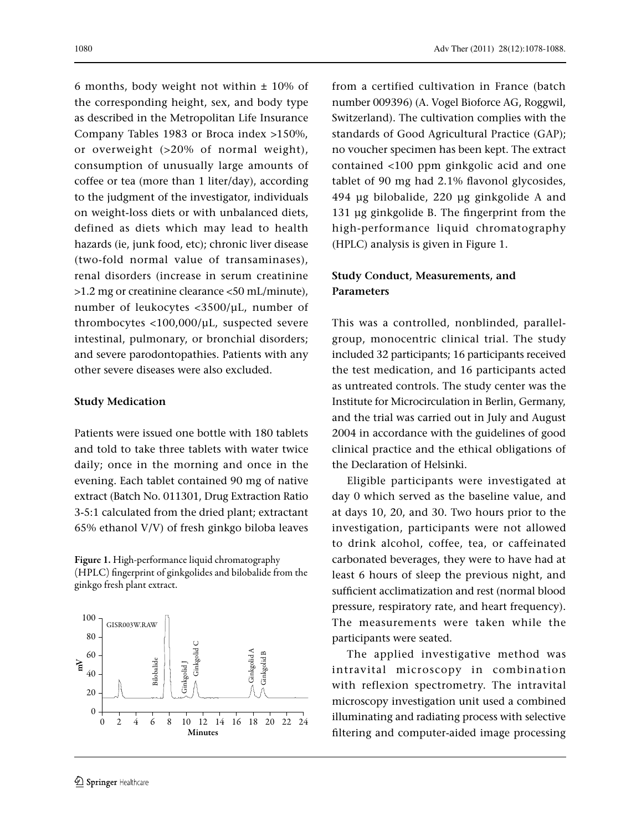1080 Adv Ther (2011) 28(12):1078-1088.

6 months, body weight not within  $\pm$  10% of the corresponding height, sex, and body type as described in the Metropolitan Life Insurance Company Tables 1983 or Broca index >150%, or overweight (>20% of normal weight), consumption of unusually large amounts of coffee or tea (more than 1 liter/day), according to the judgment of the investigator, individuals on weight-loss diets or with unbalanced diets, defined as diets which may lead to health hazards (ie, junk food, etc); chronic liver disease (two-fold normal value of transaminases), renal disorders (increase in serum creatinine >1.2 mg or creatinine clearance <50 mL/minute), number of leukocytes <3500/μL, number of thrombocytes <100,000/μL, suspected severe intestinal, pulmonary, or bronchial disorders; and severe parodontopathies. Patients with any other severe diseases were also excluded.

### **Study Medication**

Patients were issued one bottle with 180 tablets and told to take three tablets with water twice daily; once in the morning and once in the evening. Each tablet contained 90 mg of native extract (Batch No. 011301, Drug Extraction Ratio 3-5:1 calculated from the dried plant; extractant 65% ethanol V/V) of fresh ginkgo biloba leaves

Figure 1. High-performance liquid chromatography (HPLC) fingerprint of ginkgolides and bilobalide from the ginkgo fresh plant extract.



from a certified cultivation in France (batch number 009396) (A. Vogel Bioforce AG, Roggwil, Switzerland). The cultivation complies with the standards of Good Agricultural Practice (GAP); no voucher specimen has been kept. The extract contained <100 ppm ginkgolic acid and one tablet of 90 mg had 2.1% flavonol glycosides, 494 μg bilobalide, 220 μg ginkgolide A and 131 μg ginkgolide B. The fingerprint from the high-performance liquid chromatography (HPLC) analysis is given in Figure 1.

## **Study Conduct, Measurements, and Parameters**

This was a controlled, nonblinded, parallelgroup, monocentric clinical trial. The study included 32 participants; 16 participants received the test medication, and 16 participants acted as untreated controls. The study center was the Institute for Microcirculation in Berlin, Germany, and the trial was carried out in July and August 2004 in accordance with the guidelines of good clinical practice and the ethical obligations of the Declaration of Helsinki.

Eligible participants were investigated at day 0 which served as the baseline value, and at days 10, 20, and 30. Two hours prior to the investigation, participants were not allowed to drink alcohol, coffee, tea, or caffeinated carbonated beverages, they were to have had at least 6 hours of sleep the previous night, and sufficient acclimatization and rest (normal blood pressure, respiratory rate, and heart frequency). The measurements were taken while the participants were seated.

The applied investigative method was intravital microscopy in combination with reflexion spectrometry. The intravital microscopy investigation unit used a combined illuminating and radiating process with selective filtering and computer-aided image processing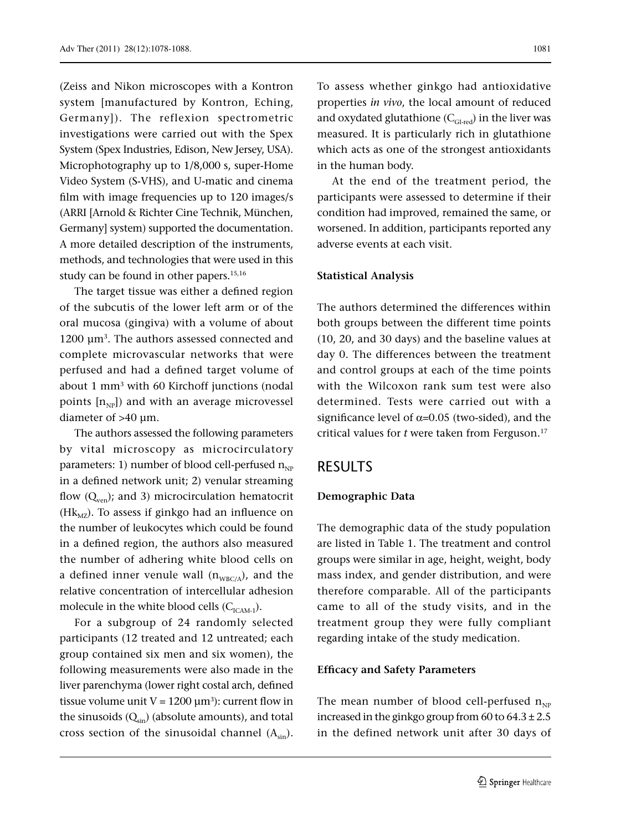(Zeiss and Nikon microscopes with a Kontron system [manufactured by Kontron, Eching, Germany]). The reflexion spectrometric investigations were carried out with the Spex System (Spex Industries, Edison, New Jersey, USA). Microphotography up to 1/8,000 s, super-Home Video System (S-VHS), and U-matic and cinema film with image frequencies up to 120 images/s (ARRI [Arnold & Richter Cine Technik, München, Germany] system) supported the documentation. A more detailed description of the instruments, methods, and technologies that were used in this study can be found in other papers.<sup>15,16</sup>

The target tissue was either a defined region of the subcutis of the lower left arm or of the oral mucosa (gingiva) with a volume of about 1200 μm3. The authors assessed connected and complete microvascular networks that were perfused and had a defined target volume of about 1 mm3 with 60 Kirchoff junctions (nodal points  $[n_{NP}]$ ) and with an average microvessel diameter of >40 μm.

The authors assessed the following parameters by vital microscopy as microcirculatory parameters: 1) number of blood cell-perfused  $n_{NP}$ in a defined network unit; 2) venular streaming flow  $(Q_{ven})$ ; and 3) microcirculation hematocrit (H $k_{\text{MZ}}$ ). To assess if ginkgo had an influence on the number of leukocytes which could be found in a defined region, the authors also measured the number of adhering white blood cells on a defined inner venule wall  $(n_{WBC/A})$ , and the relative concentration of intercellular adhesion molecule in the white blood cells  $(C_{ICAM-1})$ .

For a subgroup of 24 randomly selected participants (12 treated and 12 untreated; each group contained six men and six women), the following measurements were also made in the liver parenchyma (lower right costal arch, defined tissue volume unit  $V = 1200 \mu m^3$ : current flow in the sinusoids  $(Q_{sin})$  (absolute amounts), and total cross section of the sinusoidal channel  $(A_{sin})$ .

To assess whether ginkgo had antioxidative properties *in vivo*, the local amount of reduced and oxydated glutathione  $(C_{GI\text{-red}})$  in the liver was measured. It is particularly rich in glutathione which acts as one of the strongest antioxidants in the human body.

At the end of the treatment period, the participants were assessed to determine if their condition had improved, remained the same, or worsened. In addition, participants reported any adverse events at each visit.

#### **Statistical Analysis**

The authors determined the differences within both groups between the different time points (10, 20, and 30 days) and the baseline values at day 0. The differences between the treatment and control groups at each of the time points with the Wilcoxon rank sum test were also determined. Tests were carried out with a significance level of  $\alpha$ =0.05 (two-sided), and the critical values for *t* were taken from Ferguson.<sup>17</sup>

### RESULTS

#### **Demographic Data**

The demographic data of the study population are listed in Table 1. The treatment and control groups were similar in age, height, weight, body mass index, and gender distribution, and were therefore comparable. All of the participants came to all of the study visits, and in the treatment group they were fully compliant regarding intake of the study medication.

#### **Efficacy and Safety Parameters**

The mean number of blood cell-perfused  $n_{NP}$ increased in the ginkgo group from 60 to  $64.3 \pm 2.5$ in the defined network unit after 30 days of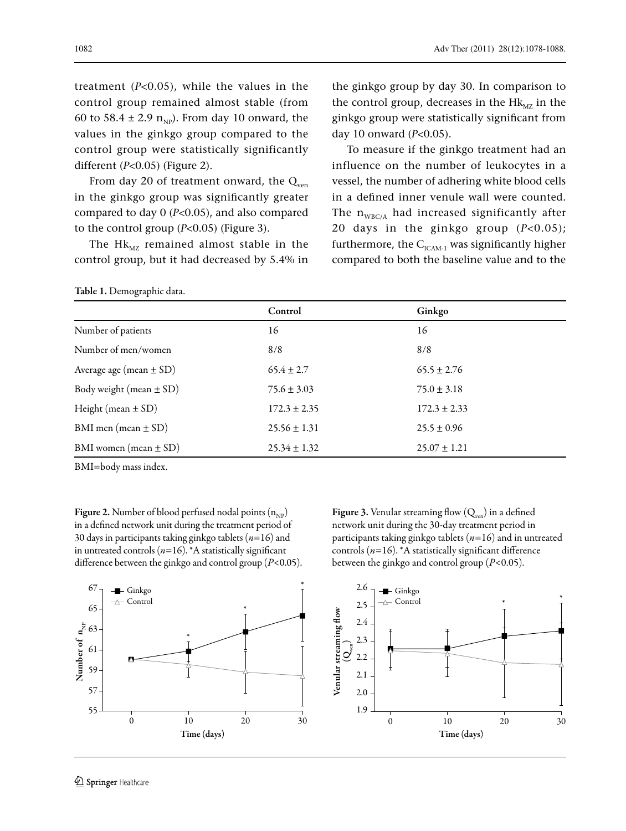treatment (*P*<0.05), while the values in the control group remained almost stable (from 60 to 58.4 ± 2.9  $n_{NP}$ ). From day 10 onward, the values in the ginkgo group compared to the control group were statistically significantly different (*P*<0.05) (Figure 2).

From day 20 of treatment onward, the  $Q_{ven}$ in the ginkgo group was significantly greater compared to day 0 (*P*<0.05), and also compared to the control group (*P*<0.05) (Figure 3).

The  $Hk_{MZ}$  remained almost stable in the control group, but it had decreased by 5.4% in

Table 1. Demographic data.

the ginkgo group by day 30. In comparison to the control group, decreases in the  $Hk_{MZ}$  in the ginkgo group were statistically significant from day 10 onward (*P*<0.05).

To measure if the ginkgo treatment had an influence on the number of leukocytes in a vessel, the number of adhering white blood cells in a defined inner venule wall were counted. The  $n_{WBC/A}$  had increased significantly after 20 days in the ginkgo group (*P*<0.05); furthermore, the  $C_{ICAM-1}$  was significantly higher compared to both the baseline value and to the

|                             | Control          | Ginkgo           |
|-----------------------------|------------------|------------------|
| Number of patients          | 16               | 16               |
| Number of men/women         | 8/8              | 8/8              |
| Average age (mean $\pm$ SD) | $65.4 \pm 2.7$   | $65.5 \pm 2.76$  |
| Body weight (mean $\pm$ SD) | $75.6 \pm 3.03$  | $75.0 \pm 3.18$  |
| Height (mean $\pm$ SD)      | $172.3 \pm 2.35$ | $172.3 \pm 2.33$ |
| BMI men (mean $\pm$ SD)     | $25.56 \pm 1.31$ | $25.5 \pm 0.96$  |
| BMI women (mean $\pm$ SD)   | $25.34 \pm 1.32$ | $25.07 \pm 1.21$ |

BMI=body mass index.

**Figure 2.** Number of blood perfused nodal points  $(n_{NP})$ in a defined network unit during the treatment period of 30 days in participants taking ginkgo tablets (*n*=16) and in untreated controls (*n*=16). \*A statistically significant difference between the ginkgo and control group (*P*<0.05). Figure 3. Venular streaming flow  $(Q_{ven})$  in a defined network unit during the 30-day treatment period in participants taking ginkgo tablets (*n*=16) and in untreated controls (*n*=16). \*A statistically significant difference between the ginkgo and control group (*P*<0.05).

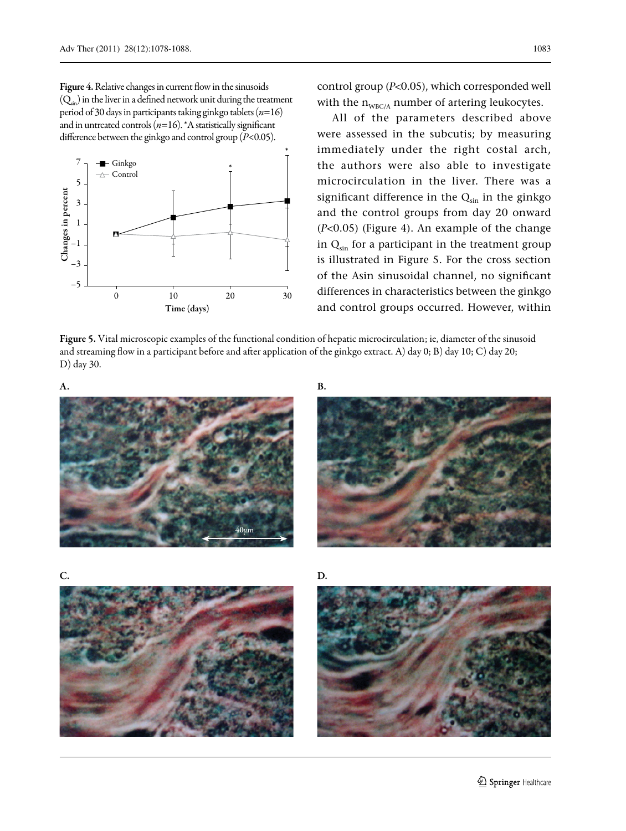

control group (*P*<0.05), which corresponded well with the  $n_{WBC/A}$  number of artering leukocytes.

All of the parameters described above were assessed in the subcutis; by measuring immediately under the right costal arch, the authors were also able to investigate microcirculation in the liver. There was a significant difference in the  $Q_{sin}$  in the ginkgo and the control groups from day 20 onward (*P*<0.05) (Figure 4). An example of the change in  $Q_{sin}$  for a participant in the treatment group is illustrated in Figure 5. For the cross section of the Asin sinusoidal channel, no significant differences in characteristics between the ginkgo and control groups occurred. However, within

Figure 5. Vital microscopic examples of the functional condition of hepatic microcirculation; ie, diameter of the sinusoid and streaming flow in a participant before and after application of the ginkgo extract. A) day 0; B) day 10; C) day 20; D) day 30.









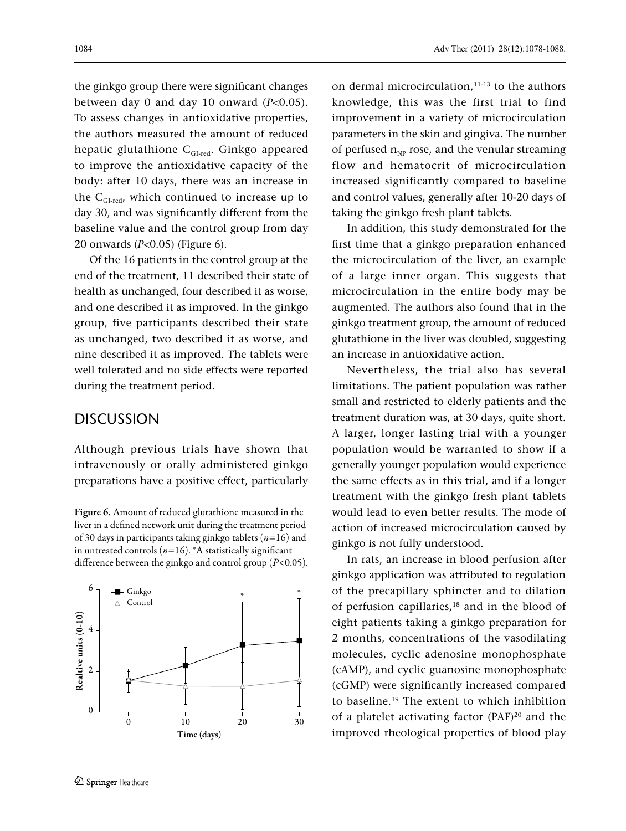the ginkgo group there were significant changes between day 0 and day 10 onward (*P*<0.05). To assess changes in antioxidative properties, the authors measured the amount of reduced hepatic glutathione  $C_{GI\text{-red}}$ . Ginkgo appeared to improve the antioxidative capacity of the body: after 10 days, there was an increase in the  $C_{GI\text{-red}}$ , which continued to increase up to day 30, and was significantly different from the baseline value and the control group from day 20 onwards (*P*<0.05) (Figure 6).

Of the 16 patients in the control group at the end of the treatment, 11 described their state of health as unchanged, four described it as worse, and one described it as improved. In the ginkgo group, five participants described their state as unchanged, two described it as worse, and nine described it as improved. The tablets were well tolerated and no side effects were reported during the treatment period.

# DISCUSSION

Although previous trials have shown that intravenously or orally administered ginkgo preparations have a positive effect, particularly

Figure 6. Amount of reduced glutathione measured in the liver in a defined network unit during the treatment period of 30 days in participants taking ginkgo tablets (*n*=16) and in untreated controls  $(n=16)$ . \*A statistically significant difference between the ginkgo and control group (*P*<0.05).



on dermal microcirculation,<sup>11-13</sup> to the authors knowledge, this was the first trial to find improvement in a variety of microcirculation parameters in the skin and gingiva. The number of perfused  $n_{NP}$  rose, and the venular streaming flow and hematocrit of microcirculation increased significantly compared to baseline and control values, generally after 10-20 days of taking the ginkgo fresh plant tablets.

In addition, this study demonstrated for the first time that a ginkgo preparation enhanced the microcirculation of the liver, an example of a large inner organ. This suggests that microcirculation in the entire body may be augmented. The authors also found that in the ginkgo treatment group, the amount of reduced glutathione in the liver was doubled, suggesting an increase in antioxidative action.

Nevertheless, the trial also has several limitations. The patient population was rather small and restricted to elderly patients and the treatment duration was, at 30 days, quite short. A larger, longer lasting trial with a younger population would be warranted to show if a generally younger population would experience the same effects as in this trial, and if a longer treatment with the ginkgo fresh plant tablets would lead to even better results. The mode of action of increased microcirculation caused by ginkgo is not fully understood.

In rats, an increase in blood perfusion after ginkgo application was attributed to regulation of the precapillary sphincter and to dilation of perfusion capillaries,18 and in the blood of eight patients taking a ginkgo preparation for 2 months, concentrations of the vasodilating molecules, cyclic adenosine monophosphate (cAMP), and cyclic guanosine monophosphate (cGMP) were significantly increased compared to baseline.19 The extent to which inhibition of a platelet activating factor (PAF)20 and the improved rheological properties of blood play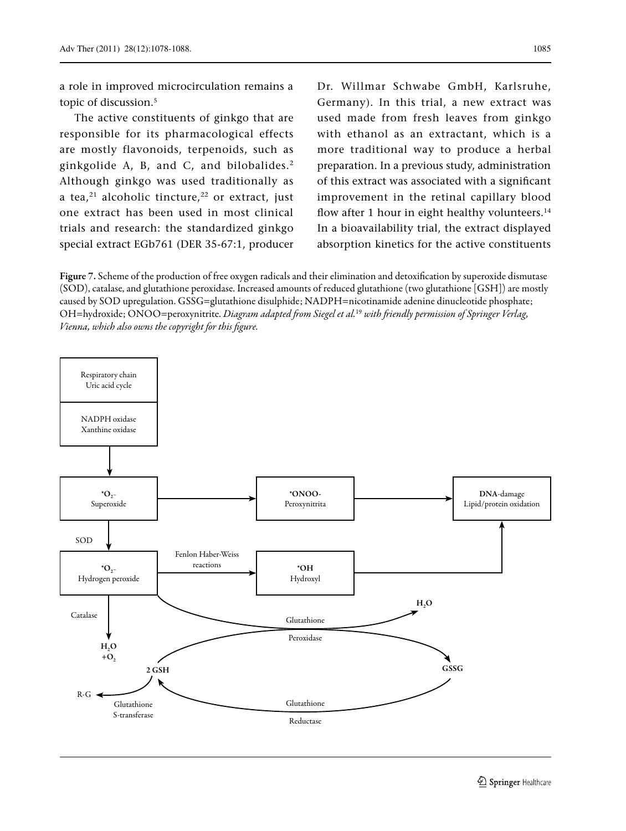a role in improved microcirculation remains a topic of discussion.<sup>5</sup>

The active constituents of ginkgo that are responsible for its pharmacological effects are mostly flavonoids, terpenoids, such as ginkgolide A, B, and C, and bilobalides.2 Although ginkgo was used traditionally as a tea, $^{21}$  alcoholic tincture, $^{22}$  or extract, just one extract has been used in most clinical trials and research: the standardized ginkgo special extract EGb761 (DER 35-67:1, producer

Dr. Willmar Schwabe GmbH, Karlsruhe, Germany). In this trial, a new extract was used made from fresh leaves from ginkgo with ethanol as an extractant, which is a more traditional way to produce a herbal preparation. In a previous study, administration of this extract was associated with a significant improvement in the retinal capillary blood flow after 1 hour in eight healthy volunteers. $14$ In a bioavailability trial, the extract displayed absorption kinetics for the active constituents

Figure 7. Scheme of the production of free oxygen radicals and their elimination and detoxification by superoxide dismutase (SOD), catalase, and glutathione peroxidase. Increased amounts of reduced glutathione (two glutathione [GSH]) are mostly caused by SOD upregulation. GSSG=glutathione disulphide; NADPH=nicotinamide adenine dinucleotide phosphate; OH=hydroxide; ONOO=peroxynitrite. *Diagram adapted from Siegel et al.*<sup>19</sup> *with friendly permission of Springer Verlag, Vienna, which also owns the copyright for this figure.*

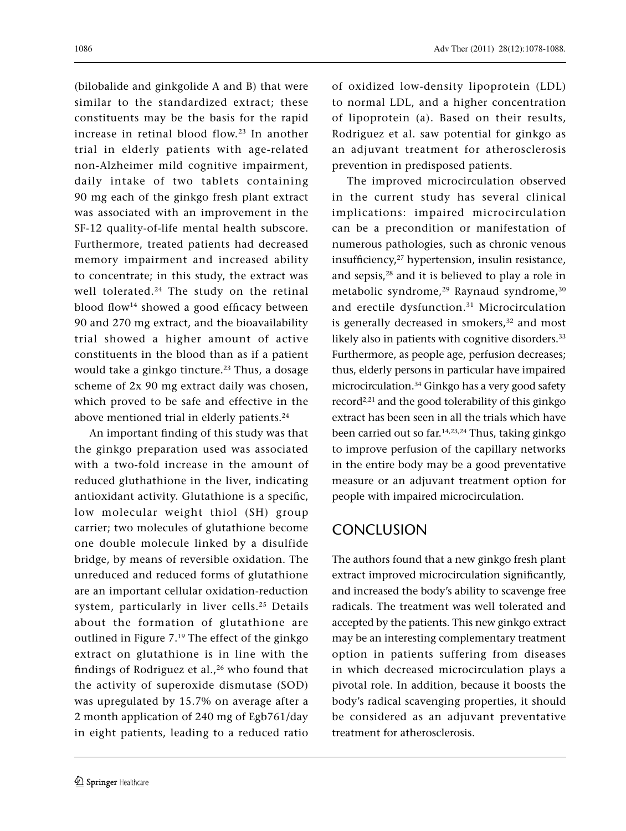(bilobalide and ginkgolide A and B) that were similar to the standardized extract; these constituents may be the basis for the rapid increase in retinal blood flow.23 In another trial in elderly patients with age-related non-Alzheimer mild cognitive impairment, daily intake of two tablets containing 90 mg each of the ginkgo fresh plant extract was associated with an improvement in the SF-12 quality-of-life mental health subscore. Furthermore, treated patients had decreased memory impairment and increased ability to concentrate; in this study, the extract was well tolerated.<sup>24</sup> The study on the retinal blood flow<sup>14</sup> showed a good efficacy between 90 and 270 mg extract, and the bioavailability trial showed a higher amount of active constituents in the blood than as if a patient would take a ginkgo tincture.<sup>23</sup> Thus, a dosage scheme of 2x 90 mg extract daily was chosen, which proved to be safe and effective in the above mentioned trial in elderly patients.<sup>24</sup>

An important finding of this study was that the ginkgo preparation used was associated with a two-fold increase in the amount of reduced gluthathione in the liver, indicating antioxidant activity. Glutathione is a specific, low molecular weight thiol (SH) group carrier; two molecules of glutathione become one double molecule linked by a disulfide bridge, by means of reversible oxidation. The unreduced and reduced forms of glutathione are an important cellular oxidation-reduction system, particularly in liver cells.<sup>25</sup> Details about the formation of glutathione are outlined in Figure 7.19 The effect of the ginkgo extract on glutathione is in line with the findings of Rodriguez et al., $26$  who found that the activity of superoxide dismutase (SOD) was upregulated by 15.7% on average after a 2 month application of 240 mg of Egb761/day in eight patients, leading to a reduced ratio

of oxidized low-density lipoprotein (LDL) to normal LDL, and a higher concentration of lipoprotein (a). Based on their results, Rodriguez et al. saw potential for ginkgo as an adjuvant treatment for atherosclerosis prevention in predisposed patients.

The improved microcirculation observed in the current study has several clinical implications: impaired microcirculation can be a precondition or manifestation of numerous pathologies, such as chronic venous insufficiency,27 hypertension, insulin resistance, and sepsis,28 and it is believed to play a role in metabolic syndrome,<sup>29</sup> Raynaud syndrome,<sup>30</sup> and erectile dysfunction.<sup>31</sup> Microcirculation is generally decreased in smokers,<sup>32</sup> and most likely also in patients with cognitive disorders.<sup>33</sup> Furthermore, as people age, perfusion decreases; thus, elderly persons in particular have impaired microcirculation.34 Ginkgo has a very good safety record2,21 and the good tolerability of this ginkgo extract has been seen in all the trials which have been carried out so far.<sup>14,23,24</sup> Thus, taking ginkgo to improve perfusion of the capillary networks in the entire body may be a good preventative measure or an adjuvant treatment option for people with impaired microcirculation.

# **CONCLUSION**

The authors found that a new ginkgo fresh plant extract improved microcirculation significantly, and increased the body's ability to scavenge free radicals. The treatment was well tolerated and accepted by the patients. This new ginkgo extract may be an interesting complementary treatment option in patients suffering from diseases in which decreased microcirculation plays a pivotal role. In addition, because it boosts the body's radical scavenging properties, it should be considered as an adjuvant preventative treatment for atherosclerosis.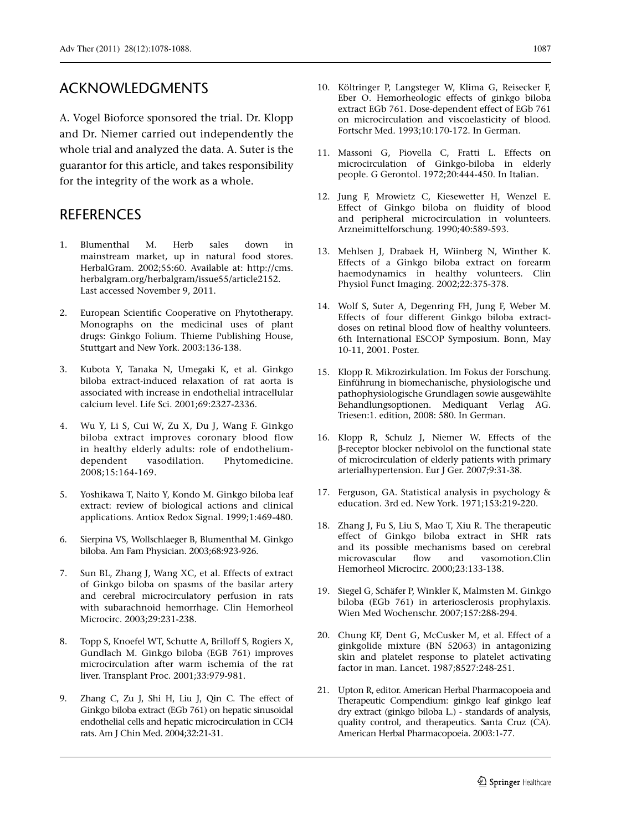# ACKNOWLEDGMENTS

A. Vogel Bioforce sponsored the trial. Dr. Klopp and Dr. Niemer carried out independently the whole trial and analyzed the data. A. Suter is the guarantor for this article, and takes responsibility for the integrity of the work as a whole.

## **REFERENCES**

- 1. Blumenthal M. Herb sales down in mainstream market, up in natural food stores. HerbalGram. 2002;55:60. Available at: http://cms. herbalgram.org/herbalgram/issue55/article2152. Last accessed November 9, 2011.
- 2. European Scientific Cooperative on Phytotherapy. Monographs on the medicinal uses of plant drugs: Ginkgo Folium. Thieme Publishing House, Stuttgart and New York. 2003:136-138.
- 3. Kubota Y, Tanaka N, Umegaki K, et al. Ginkgo biloba extract-induced relaxation of rat aorta is associated with increase in endothelial intracellular calcium level. Life Sci. 2001;69:2327-2336.
- 4. Wu Y, Li S, Cui W, Zu X, Du J, Wang F. Ginkgo biloba extract improves coronary blood flow in healthy elderly adults: role of endotheliumdependent vasodilation. Phytomedicine. 2008;15:164-169.
- 5. Yoshikawa T, Naito Y, Kondo M. Ginkgo biloba leaf extract: review of biological actions and clinical applications. Antiox Redox Signal. 1999;1:469-480.
- 6. Sierpina VS, Wollschlaeger B, Blumenthal M. Ginkgo biloba. Am Fam Physician. 2003;68:923-926.
- 7. Sun BL, Zhang J, Wang XC, et al. Effects of extract of Ginkgo biloba on spasms of the basilar artery and cerebral microcirculatory perfusion in rats with subarachnoid hemorrhage. Clin Hemorheol Microcirc. 2003;29:231-238.
- 8. Topp S, Knoefel WT, Schutte A, Brilloff S, Rogiers X, Gundlach M. Ginkgo biloba (EGB 761) improves microcirculation after warm ischemia of the rat liver. Transplant Proc. 2001;33:979-981.
- 9. Zhang C, Zu J, Shi H, Liu J, Qin C. The effect of Ginkgo biloba extract (EGb 761) on hepatic sinusoidal endothelial cells and hepatic microcirculation in CCl4 rats. Am J Chin Med. 2004;32:21-31.
- 10. Költringer P, Langsteger W, Klima G, Reisecker F, Eber O. Hemorheologic effects of ginkgo biloba extract EGb 761. Dose-dependent effect of EGb 761 on microcirculation and viscoelasticity of blood. Fortschr Med. 1993;10:170-172. In German.
- 11. Massoni G, Piovella C, Fratti L. Effects on microcirculation of Ginkgo-biloba in elderly people. G Gerontol. 1972;20:444-450. In Italian.
- 12. Jung F, Mrowietz C, Kiesewetter H, Wenzel E. Effect of Ginkgo biloba on fluidity of blood and peripheral microcirculation in volunteers. Arzneimittelforschung. 1990;40:589-593.
- 13. Mehlsen J, Drabaek H, Wiinberg N, Winther K. Effects of a Ginkgo biloba extract on forearm haemodynamics in healthy volunteers. Clin Physiol Funct Imaging. 2002;22:375-378.
- 14. Wolf S, Suter A, Degenring FH, Jung F, Weber M. Effects of four different Ginkgo biloba extractdoses on retinal blood flow of healthy volunteers. 6th International ESCOP Symposium. Bonn, May 10-11, 2001. Poster.
- 15. Klopp R. Mikrozirkulation. Im Fokus der Forschung. Einführung in biomechanische, physiologische und pathophysiologische Grundlagen sowie ausgewählte Behandlungsoptionen. Mediquant Verlag AG. Triesen:1. edition, 2008: 580. In German.
- 16. Klopp R, Schulz J, Niemer W. Effects of the β-receptor blocker nebivolol on the functional state of microcirculation of elderly patients with primary arterialhypertension. Eur J Ger. 2007;9:31-38.
- 17. Ferguson, GA. Statistical analysis in psychology & education. 3rd ed. New York. 1971;153:219-220.
- 18. Zhang J, Fu S, Liu S, Mao T, Xiu R. The therapeutic effect of Ginkgo biloba extract in SHR rats and its possible mechanisms based on cerebral microvascular flow and vasomotion.Clin Hemorheol Microcirc. 2000;23:133-138.
- 19. Siegel G, Schäfer P, Winkler K, Malmsten M. Ginkgo biloba (EGb 761) in arteriosclerosis prophylaxis. Wien Med Wochenschr. 2007;157:288-294.
- 20. Chung KF, Dent G, McCusker M, et al. Effect of a ginkgolide mixture (BN 52063) in antagonizing skin and platelet response to platelet activating factor in man. Lancet. 1987;8527:248-251.
- 21. Upton R, editor. American Herbal Pharmacopoeia and Therapeutic Compendium: ginkgo leaf ginkgo leaf dry extract (ginkgo biloba L.) - standards of analysis, quality control, and therapeutics. Santa Cruz (CA). American Herbal Pharmacopoeia. 2003:1-77.